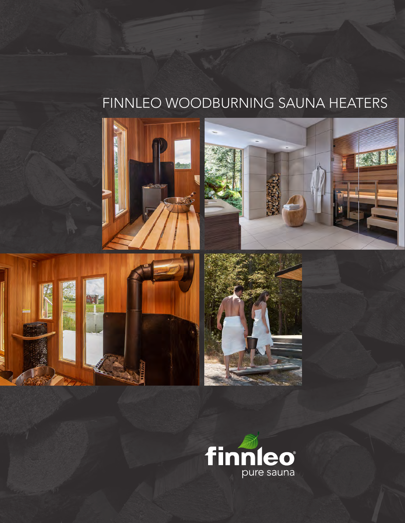## FINNLEO WOODBURNING SAUNA HEATERS









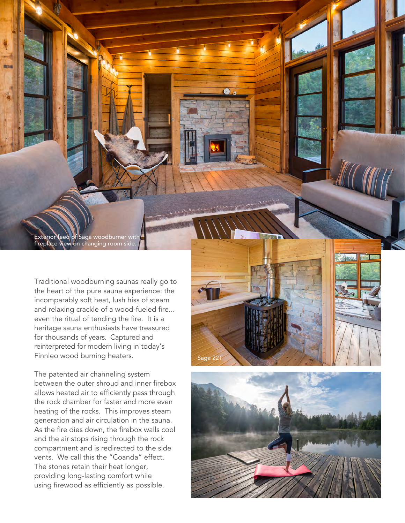Exterior feed of Saga woodburner with fireplace view on changing room side.

Traditional woodburning saunas really go to the heart of the pure sauna experience: the incomparably soft heat, lush hiss of steam and relaxing crackle of a wood-fueled fire... even the ritual of tending the fire. It is a heritage sauna enthusiasts have treasured for thousands of years. Captured and reinterpreted for modern living in today's Finnleo wood burning heaters.

The patented air channeling system between the outer shroud and inner firebox allows heated air to efficiently pass through the rock chamber for faster and more even heating of the rocks. This improves steam generation and air circulation in the sauna. As the fire dies down, the firebox walls cool and the air stops rising through the rock compartment and is redirected to the side vents. We call this the "Coanda" effect. The stones retain their heat longer, providing long-lasting comfort while using firewood as efficiently as possible.



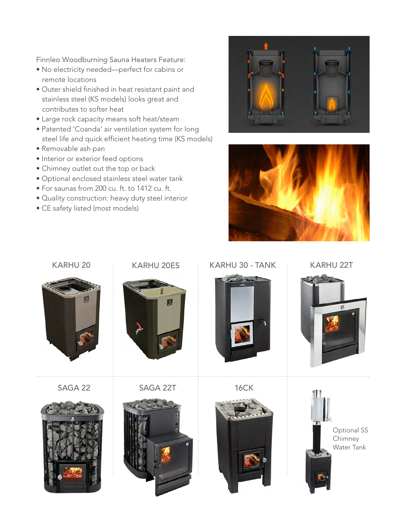Finnleo Woodburning Sauna Heaters Feature:

- No electricity needed—perfect for cabins or remote locations
- Outer shield finished in heat resistant paint and stainless steel (KS models) looks great and contributes to softer heat
- Large rock capacity means soft heat/steam
- Patented 'Coanda' air ventilation system for long steel life and quick efficient heating time (KS models)
- Removable ash pan
- Interior or exterior feed options
- Chimney outlet out the top or back
- Optional enclosed stainless steel water tank
- For saunas from 200 cu. ft. to 1412 cu. ft.
- Quality construction: heavy duty steel interior
- CE safety listed (most models)





## KARHU 20 KARHU 20ES KARHU 30 - TANK KARHU 22T